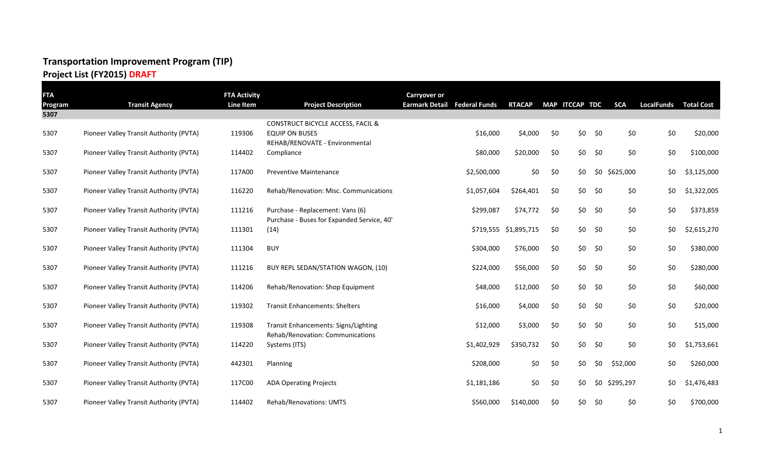#### **Project List (FY2015) DRAFT**

| <b>FTA</b>             |                                         | <b>FTA Activity</b> |                                                   | <b>Carryover or</b> |                              |                       |     |                |     |               |                   |                   |
|------------------------|-----------------------------------------|---------------------|---------------------------------------------------|---------------------|------------------------------|-----------------------|-----|----------------|-----|---------------|-------------------|-------------------|
| <b>Program</b><br>5307 | <b>Transit Agency</b>                   | <b>Line Item</b>    | <b>Project Description</b>                        |                     | Earmark Detail Federal Funds | <b>RTACAP</b>         |     | MAP ITCCAP TDC |     | <b>SCA</b>    | <b>LocalFunds</b> | <b>Total Cost</b> |
|                        |                                         |                     | CONSTRUCT BICYCLE ACCESS, FACIL &                 |                     |                              |                       |     |                |     |               |                   |                   |
| 5307                   | Pioneer Valley Transit Authority (PVTA) | 119306              | <b>EQUIP ON BUSES</b>                             |                     | \$16,000                     | \$4,000               | \$0 | \$0            | \$0 | \$0           | \$0               | \$20,000          |
|                        |                                         |                     | REHAB/RENOVATE - Environmental                    |                     |                              |                       |     |                |     |               |                   |                   |
| 5307                   | Pioneer Valley Transit Authority (PVTA) | 114402              | Compliance                                        |                     | \$80,000                     | \$20,000              | \$0 | \$0            | \$0 | \$0           | \$0               | \$100,000         |
| 5307                   | Pioneer Valley Transit Authority (PVTA) | 117A00              | <b>Preventive Maintenance</b>                     |                     | \$2,500,000                  | \$0                   | \$0 | \$0            |     | \$0 \$625,000 | \$0               | \$3,125,000       |
|                        |                                         |                     |                                                   |                     |                              |                       |     |                |     |               |                   |                   |
| 5307                   | Pioneer Valley Transit Authority (PVTA) | 116220              | Rehab/Renovation: Misc. Communications            |                     | \$1,057,604                  | \$264,401             | \$0 | \$0            | \$0 | \$0           | \$0               | \$1,322,005       |
| 5307                   | Pioneer Valley Transit Authority (PVTA) | 111216              | Purchase - Replacement: Vans (6)                  |                     | \$299,087                    | \$74,772              | \$0 | \$0            | \$0 | \$0           | \$0               | \$373,859         |
|                        |                                         |                     | Purchase - Buses for Expanded Service, 40'        |                     |                              |                       |     |                |     |               |                   |                   |
| 5307                   | Pioneer Valley Transit Authority (PVTA) | 111301              | (14)                                              |                     |                              | \$719,555 \$1,895,715 | \$0 | \$0            | \$0 | \$0           | \$0               | \$2,615,270       |
| 5307                   |                                         | 111304              | <b>BUY</b>                                        |                     |                              | \$76,000              | \$0 | \$0            | \$0 |               |                   | \$380,000         |
|                        | Pioneer Valley Transit Authority (PVTA) |                     |                                                   |                     | \$304,000                    |                       |     |                |     | \$0           | \$0               |                   |
| 5307                   | Pioneer Valley Transit Authority (PVTA) | 111216              | BUY REPL SEDAN/STATION WAGON, (10)                |                     | \$224,000                    | \$56,000              | \$0 | \$0            | \$0 | \$0           | \$0               | \$280,000         |
|                        |                                         |                     |                                                   |                     |                              |                       |     |                |     |               |                   |                   |
| 5307                   | Pioneer Valley Transit Authority (PVTA) | 114206              | Rehab/Renovation: Shop Equipment                  |                     | \$48,000                     | \$12,000              | \$0 | \$0            | \$0 | \$0           | \$0               | \$60,000          |
| 5307                   | Pioneer Valley Transit Authority (PVTA) | 119302              | <b>Transit Enhancements: Shelters</b>             |                     | \$16,000                     | \$4,000               | \$0 | \$0            | \$0 | \$0           | \$0               | \$20,000          |
|                        |                                         |                     |                                                   |                     |                              |                       |     |                |     |               |                   |                   |
| 5307                   | Pioneer Valley Transit Authority (PVTA) | 119308              | Transit Enhancements: Signs/Lighting              |                     | \$12,000                     | \$3,000               | \$0 | \$0            | \$0 | \$0           | \$0               | \$15,000          |
| 5307                   | Pioneer Valley Transit Authority (PVTA) | 114220              | Rehab/Renovation: Communications<br>Systems (ITS) |                     | \$1,402,929                  | \$350,732             | \$0 | \$0            | \$0 | \$0           | \$0               | \$1,753,661       |
|                        |                                         |                     |                                                   |                     |                              |                       |     |                |     |               |                   |                   |
| 5307                   | Pioneer Valley Transit Authority (PVTA) | 442301              | Planning                                          |                     | \$208,000                    | \$0                   | \$0 | \$0            | \$0 | \$52,000      | \$0               | \$260,000         |
|                        |                                         |                     |                                                   |                     |                              |                       |     |                |     |               |                   |                   |
| 5307                   | Pioneer Valley Transit Authority (PVTA) | 117C00              | <b>ADA Operating Projects</b>                     |                     | \$1,181,186                  | \$0                   | \$0 | \$0            | \$0 | \$295,297     | \$0               | \$1,476,483       |
| 5307                   | Pioneer Valley Transit Authority (PVTA) | 114402              | Rehab/Renovations: UMTS                           |                     | \$560,000                    | \$140,000             | \$0 | \$0            | \$0 | \$0           | \$0               | \$700,000         |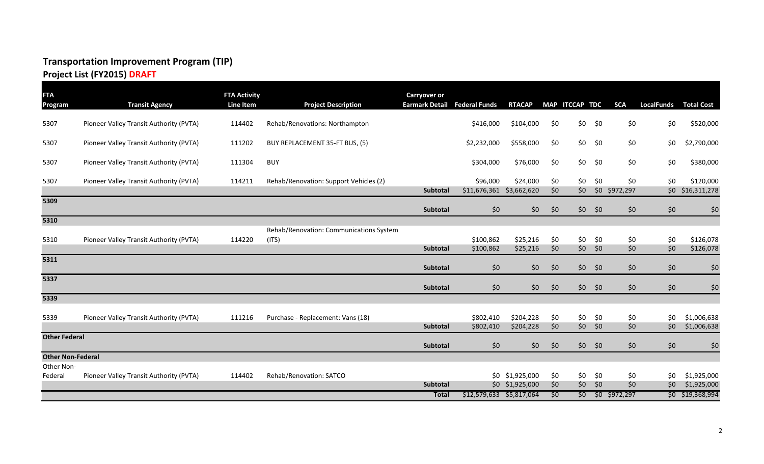## **Project List (FY2015) DRAFT**

| <b>FTA</b><br>Program    | <b>Transit Agency</b>                   | <b>FTA Activity</b><br>Line Item | <b>Project Description</b>              | <b>Carryover or</b><br><b>Earmark Detail</b> | <b>Federal Funds</b>                 | <b>RTACAP</b>     |            | MAP ITCCAP TDC |       | <b>SCA</b>           | <b>LocalFunds</b> | <b>Total Cost</b>             |
|--------------------------|-----------------------------------------|----------------------------------|-----------------------------------------|----------------------------------------------|--------------------------------------|-------------------|------------|----------------|-------|----------------------|-------------------|-------------------------------|
| 5307                     | Pioneer Valley Transit Authority (PVTA) | 114402                           | Rehab/Renovations: Northampton          |                                              | \$416,000                            | \$104,000         | \$0        | \$0            | \$0   | \$0                  | \$0               | \$520,000                     |
| 5307                     | Pioneer Valley Transit Authority (PVTA) | 111202                           | BUY REPLACEMENT 35-FT BUS, (5)          |                                              | \$2,232,000                          | \$558,000         | \$0        | \$0            | \$0   | \$0                  | \$0               | \$2,790,000                   |
| 5307                     | Pioneer Valley Transit Authority (PVTA) | 111304                           | <b>BUY</b>                              |                                              | \$304,000                            | \$76,000          | \$0        | \$0            | \$0   | \$0                  | \$0               | \$380,000                     |
| 5307                     | Pioneer Valley Transit Authority (PVTA) | 114211                           | Rehab/Renovation: Support Vehicles (2)  | Subtotal                                     | \$96,000<br>\$11,676,361 \$3,662,620 | \$24,000          | \$0<br>\$0 | \$0<br>\$0     | \$0   | \$0<br>\$0 \$972,297 | \$0               | \$120,000<br>\$0 \$16,311,278 |
| 5309                     |                                         |                                  |                                         | Subtotal                                     | \$0                                  | \$0               | \$0        | \$0\$          | \$0   | \$0                  | \$0               | \$0                           |
| 5310                     |                                         |                                  |                                         |                                              |                                      |                   |            |                |       |                      |                   |                               |
|                          |                                         |                                  | Rehab/Renovation: Communications System |                                              |                                      |                   |            |                |       |                      |                   |                               |
| 5310                     | Pioneer Valley Transit Authority (PVTA) | 114220                           | (ITS)                                   |                                              | \$100,862                            | \$25,216          | \$0        | \$0            | \$0   | \$0                  | \$0               | \$126,078                     |
|                          |                                         |                                  |                                         | Subtotal                                     | \$100,862                            | \$25,216          | \$0        | \$0\$          | 50    | \$0\$                | \$0               | \$126,078                     |
| 5311                     |                                         |                                  |                                         | <b>Subtotal</b>                              | \$0                                  | \$0               | \$0        | \$0\$          | - \$0 | \$0                  | \$0               | \$0                           |
| 5337                     |                                         |                                  |                                         | <b>Subtotal</b>                              | \$0                                  | \$0               | \$0        | \$0\$          | \$0   | \$0\$                | \$0               | \$0                           |
| 5339                     |                                         |                                  |                                         |                                              |                                      |                   |            |                |       |                      |                   |                               |
| 5339                     | Pioneer Valley Transit Authority (PVTA) | 111216                           | Purchase - Replacement: Vans (18)       |                                              | \$802,410                            | \$204,228         | \$0        | \$0            | \$0   | \$0                  | \$0               | \$1,006,638                   |
|                          |                                         |                                  |                                         | <b>Subtotal</b>                              | \$802,410                            | \$204,228         | \$0        | \$0\$          | \$0   | \$0\$                | \$0               | \$1,006,638                   |
| <b>Other Federal</b>     |                                         |                                  |                                         | Subtotal                                     | \$0                                  | \$0               | \$0        | \$0\$          | \$0   | \$0\$                | \$0               | \$0                           |
| <b>Other Non-Federal</b> |                                         |                                  |                                         |                                              |                                      |                   |            |                |       |                      |                   |                               |
| Other Non-               |                                         |                                  |                                         |                                              |                                      |                   |            |                |       |                      |                   |                               |
| Federal                  | Pioneer Valley Transit Authority (PVTA) | 114402                           | Rehab/Renovation: SATCO                 |                                              |                                      | $$0$ $$1,925,000$ | \$0        | \$0            | \$0   | \$0                  | \$0               | \$1,925,000                   |
|                          |                                         |                                  |                                         | Subtotal                                     |                                      | $$0$ $$1,925,000$ | \$0        | \$0            | \$0   | \$0                  | \$0               | \$1,925,000                   |
|                          |                                         |                                  |                                         | <b>Total</b>                                 | \$12,579,633 \$5,817,064             |                   | \$0        | \$0            |       | $$0$ \$972,297       |                   | \$0 \$19,368,994              |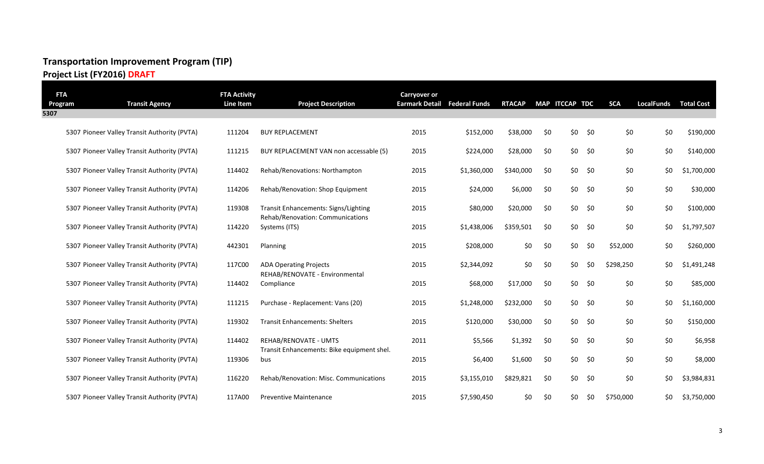**Project List (FY2016) DRAFT**

| <b>FTA</b><br>Program | <b>Transit Agency</b>                        | <b>FTA Activity</b><br>Line Item | <b>Project Description</b>                                               | <b>Carryover or</b><br><b>Earmark Detail</b> | <b>Federal Funds</b> | <b>RTACAP</b> |     | MAP ITCCAP TDC |     | <b>SCA</b> | <b>LocalFunds</b> | <b>Total Cost</b> |
|-----------------------|----------------------------------------------|----------------------------------|--------------------------------------------------------------------------|----------------------------------------------|----------------------|---------------|-----|----------------|-----|------------|-------------------|-------------------|
| 5307                  |                                              |                                  |                                                                          |                                              |                      |               |     |                |     |            |                   |                   |
|                       | 5307 Pioneer Valley Transit Authority (PVTA) | 111204                           | <b>BUY REPLACEMENT</b>                                                   | 2015                                         | \$152,000            | \$38,000      | \$0 | \$0            | \$0 | \$0        | \$0               | \$190,000         |
|                       | 5307 Pioneer Valley Transit Authority (PVTA) | 111215                           | BUY REPLACEMENT VAN non accessable (5)                                   | 2015                                         | \$224,000            | \$28,000      | \$0 | \$0            | \$0 | \$0        | \$0               | \$140,000         |
|                       | 5307 Pioneer Valley Transit Authority (PVTA) | 114402                           | Rehab/Renovations: Northampton                                           | 2015                                         | \$1,360,000          | \$340,000     | \$0 | \$0            | \$0 | \$0        | \$0               | \$1,700,000       |
|                       | 5307 Pioneer Valley Transit Authority (PVTA) | 114206                           | Rehab/Renovation: Shop Equipment                                         | 2015                                         | \$24,000             | \$6,000       | \$0 | \$0            | \$0 | \$0        | \$0               | \$30,000          |
|                       | 5307 Pioneer Valley Transit Authority (PVTA) | 119308                           | Transit Enhancements: Signs/Lighting<br>Rehab/Renovation: Communications | 2015                                         | \$80,000             | \$20,000      | \$0 | \$0\$          | \$0 | \$0        | \$0               | \$100,000         |
|                       | 5307 Pioneer Valley Transit Authority (PVTA) | 114220                           | Systems (ITS)                                                            | 2015                                         | \$1,438,006          | \$359,501     | \$0 | \$0            | \$0 | \$0        | \$0               | \$1,797,507       |
|                       | 5307 Pioneer Valley Transit Authority (PVTA) | 442301                           | Planning                                                                 | 2015                                         | \$208,000            | \$0           | \$0 | \$0\$          | \$0 | \$52,000   | \$0               | \$260,000         |
|                       | 5307 Pioneer Valley Transit Authority (PVTA) | 117C00                           | <b>ADA Operating Projects</b>                                            | 2015                                         | \$2,344,092          | \$0           | \$0 | \$0            | \$0 | \$298,250  | \$0               | \$1,491,248       |
|                       | 5307 Pioneer Valley Transit Authority (PVTA) | 114402                           | REHAB/RENOVATE - Environmental<br>Compliance                             | 2015                                         | \$68,000             | \$17,000      | \$0 | \$0            | \$0 | \$0        | \$0               | \$85,000          |
|                       | 5307 Pioneer Valley Transit Authority (PVTA) | 111215                           | Purchase - Replacement: Vans (20)                                        | 2015                                         | \$1,248,000          | \$232,000     | \$0 | \$0            | \$0 | \$0        | \$0               | \$1,160,000       |
|                       | 5307 Pioneer Valley Transit Authority (PVTA) | 119302                           | <b>Transit Enhancements: Shelters</b>                                    | 2015                                         | \$120,000            | \$30,000      | \$0 | \$0            | \$0 | \$0        | \$0               | \$150,000         |
|                       | 5307 Pioneer Valley Transit Authority (PVTA) | 114402                           | REHAB/RENOVATE - UMTS                                                    | 2011                                         | \$5,566              | \$1,392       | \$0 | \$0            | \$0 | \$0        | \$0               | \$6,958           |
|                       | 5307 Pioneer Valley Transit Authority (PVTA) | 119306                           | Transit Enhancements: Bike equipment shel.<br>bus                        | 2015                                         | \$6,400              | \$1,600       | \$0 | \$0            | \$0 | \$0        | \$0               | \$8,000           |
|                       | 5307 Pioneer Valley Transit Authority (PVTA) | 116220                           | Rehab/Renovation: Misc. Communications                                   | 2015                                         | \$3,155,010          | \$829,821     | \$0 | \$0\$          | \$0 | \$0        | \$0               | \$3,984,831       |
|                       | 5307 Pioneer Valley Transit Authority (PVTA) | 117A00                           | <b>Preventive Maintenance</b>                                            | 2015                                         | \$7,590,450          | \$0           | \$0 | \$0            | \$0 | \$750,000  | \$0               | \$3,750,000       |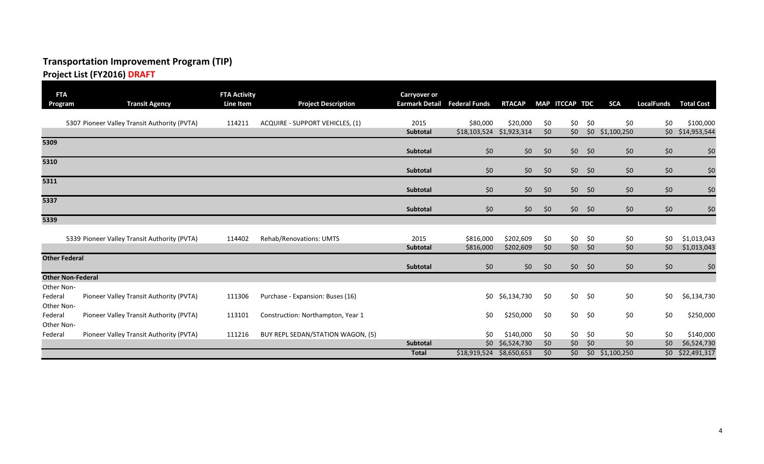#### **Project List (FY2016) DRAFT**

| <b>FTA</b><br>Program               | <b>Transit Agency</b>                        | <b>FTA Activity</b><br>Line Item | <b>Project Description</b>             | <b>Carryover or</b><br><b>Earmark Detail Federal Funds</b> |                          | <b>RTACAP</b>          |            | MAP ITCCAP TDC |            | <b>SCA</b>        | <b>LocalFunds</b> | <b>Total Cost</b>          |
|-------------------------------------|----------------------------------------------|----------------------------------|----------------------------------------|------------------------------------------------------------|--------------------------|------------------------|------------|----------------|------------|-------------------|-------------------|----------------------------|
|                                     | 5307 Pioneer Valley Transit Authority (PVTA) | 114211                           | <b>ACQUIRE - SUPPORT VEHICLES, (1)</b> | 2015                                                       | \$80,000                 | \$20,000               | \$0        | \$0            | \$0        | \$0               | \$0               | \$100,000                  |
|                                     |                                              |                                  |                                        | Subtotal                                                   | \$18,103,524 \$1,923,314 |                        | \$0        | \$0\$          |            | $$0$ $$1,100,250$ |                   | \$0 \$14,953,544           |
| 5309                                |                                              |                                  |                                        | Subtotal                                                   | \$0                      | \$0\$                  | \$0        | \$0\$          | \$0        | \$0               | \$0               | \$0                        |
| 5310                                |                                              |                                  |                                        | Subtotal                                                   | \$0                      | \$0\$                  | \$0        | \$0\$          | \$0        | \$0               | \$0               | \$0                        |
| 5311                                |                                              |                                  |                                        | Subtotal                                                   | \$0                      | \$0\$                  | \$0        | \$0\$          | \$0        | \$0               | \$0               | \$0                        |
| 5337                                |                                              |                                  |                                        | Subtotal                                                   | \$0                      | \$0\$                  | \$0        | \$0\$          | \$0        | \$0               | \$0               | \$0                        |
| 5339                                |                                              |                                  |                                        |                                                            |                          |                        |            |                |            |                   |                   |                            |
|                                     | 5339 Pioneer Valley Transit Authority (PVTA) | 114402                           | Rehab/Renovations: UMTS                | 2015<br><b>Subtotal</b>                                    | \$816,000<br>\$816,000   | \$202,609<br>\$202,609 | \$0<br>\$0 | \$0<br>\$0     | \$0<br>\$0 | \$0<br>\$0        | \$0<br>\$0        | \$1,013,043<br>\$1,013,043 |
| <b>Other Federal</b>                |                                              |                                  |                                        | Subtotal                                                   | \$0                      | \$0\$                  | \$0        | \$0\$          | \$0        | \$0               | \$0               | \$0                        |
| <b>Other Non-Federal</b>            |                                              |                                  |                                        |                                                            |                          |                        |            |                |            |                   |                   |                            |
| Other Non-<br>Federal<br>Other Non- | Pioneer Valley Transit Authority (PVTA)      | 111306                           | Purchase - Expansion: Buses (16)       |                                                            | \$0                      | \$6,134,730            | \$0        | \$0\$          | \$0        | \$0               | \$0               | \$6,134,730                |
| Federal<br>Other Non-               | Pioneer Valley Transit Authority (PVTA)      | 113101                           | Construction: Northampton, Year 1      |                                                            | \$0                      | \$250,000              | \$0        | \$0            | \$0        | \$0               | \$0               | \$250,000                  |
| Federal                             | Pioneer Valley Transit Authority (PVTA)      | 111216                           | BUY REPL SEDAN/STATION WAGON, (5)      |                                                            | \$0                      | \$140,000              | \$0        | \$0            | \$0        | \$0               | \$0               | \$140,000                  |
|                                     |                                              |                                  |                                        | <b>Subtotal</b>                                            | \$0                      | \$6,524,730            | \$0        | \$0\$          | \$0        | \$0               | \$0               | \$6,524,730                |
|                                     |                                              |                                  |                                        | <b>Total</b>                                               | \$18,919,524             | \$8,650,653            | \$0        | \$0            |            | $$0$ $$1,100,250$ |                   | \$0 \$22,491,317           |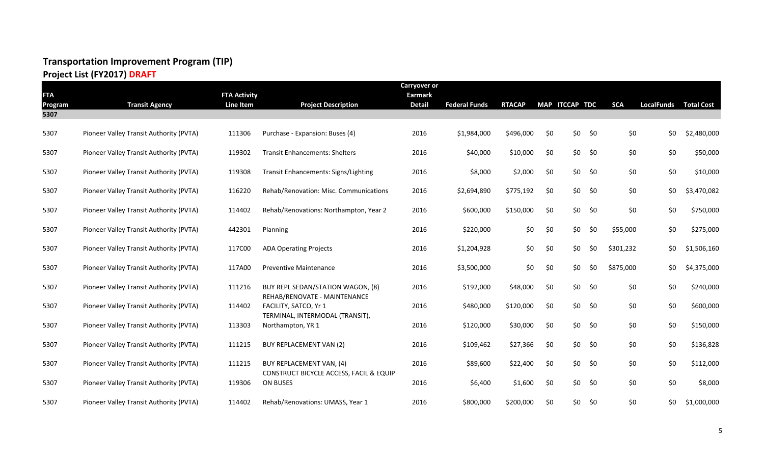## **Project List (FY2017) DRAFT**

|            |                                         |                     |                                                                   | <b>Carryover or</b> |                      |               |     |                |     |            |                              |             |
|------------|-----------------------------------------|---------------------|-------------------------------------------------------------------|---------------------|----------------------|---------------|-----|----------------|-----|------------|------------------------------|-------------|
| <b>FTA</b> |                                         | <b>FTA Activity</b> |                                                                   | <b>Earmark</b>      |                      |               |     |                |     |            |                              |             |
| Program    | <b>Transit Agency</b>                   | Line Item           | <b>Project Description</b>                                        | <b>Detail</b>       | <b>Federal Funds</b> | <b>RTACAP</b> |     | MAP ITCCAP TDC |     | <b>SCA</b> | <b>LocalFunds Total Cost</b> |             |
| 5307       |                                         |                     |                                                                   |                     |                      |               |     |                |     |            |                              |             |
| 5307       | Pioneer Valley Transit Authority (PVTA) | 111306              | Purchase - Expansion: Buses (4)                                   | 2016                | \$1,984,000          | \$496,000     | \$0 | \$0\$          | \$0 | \$0        | \$0                          | \$2,480,000 |
| 5307       | Pioneer Valley Transit Authority (PVTA) | 119302              | <b>Transit Enhancements: Shelters</b>                             | 2016                | \$40,000             | \$10,000      | \$0 | \$0            | \$0 | \$0        | \$0                          | \$50,000    |
| 5307       | Pioneer Valley Transit Authority (PVTA) | 119308              | Transit Enhancements: Signs/Lighting                              | 2016                | \$8,000              | \$2,000       | \$0 | \$0\$          | \$0 | \$0        | \$0                          | \$10,000    |
| 5307       | Pioneer Valley Transit Authority (PVTA) | 116220              | Rehab/Renovation: Misc. Communications                            | 2016                | \$2,694,890          | \$775,192     | \$0 | \$0            | \$0 | \$0        | \$0                          | \$3,470,082 |
| 5307       | Pioneer Valley Transit Authority (PVTA) | 114402              | Rehab/Renovations: Northampton, Year 2                            | 2016                | \$600,000            | \$150,000     | \$0 | \$0\$          | \$0 | \$0        | \$0                          | \$750,000   |
| 5307       | Pioneer Valley Transit Authority (PVTA) | 442301              | Planning                                                          | 2016                | \$220,000            | \$0           | \$0 | \$0            | \$0 | \$55,000   | \$0                          | \$275,000   |
| 5307       | Pioneer Valley Transit Authority (PVTA) | 117C00              | <b>ADA Operating Projects</b>                                     | 2016                | \$1,204,928          | \$0           | \$0 | \$0            | \$0 | \$301,232  | \$0                          | \$1,506,160 |
| 5307       | Pioneer Valley Transit Authority (PVTA) | 117A00              | <b>Preventive Maintenance</b>                                     | 2016                | \$3,500,000          | \$0           | \$0 | \$0            | \$0 | \$875,000  | \$0                          | \$4,375,000 |
| 5307       | Pioneer Valley Transit Authority (PVTA) | 111216              | BUY REPL SEDAN/STATION WAGON, (8)<br>REHAB/RENOVATE - MAINTENANCE | 2016                | \$192,000            | \$48,000      | \$0 | \$0            | \$0 | \$0        | \$0                          | \$240,000   |
| 5307       | Pioneer Valley Transit Authority (PVTA) | 114402              | FACILITY, SATCO, Yr 1<br>TERMINAL, INTERMODAL (TRANSIT),          | 2016                | \$480,000            | \$120,000     | \$0 | \$0            | \$0 | \$0        | \$0                          | \$600,000   |
| 5307       | Pioneer Valley Transit Authority (PVTA) | 113303              | Northampton, YR 1                                                 | 2016                | \$120,000            | \$30,000      | \$0 | \$0            | \$0 | \$0        | \$0                          | \$150,000   |
| 5307       | Pioneer Valley Transit Authority (PVTA) | 111215              | BUY REPLACEMENT VAN (2)                                           | 2016                | \$109,462            | \$27,366      | \$0 | \$0            | \$0 | \$0        | \$0                          | \$136,828   |
| 5307       | Pioneer Valley Transit Authority (PVTA) | 111215              | BUY REPLACEMENT VAN, (4)                                          | 2016                | \$89,600             | \$22,400      | \$0 | \$0            | \$0 | \$0        | \$0                          | \$112,000   |
| 5307       | Pioneer Valley Transit Authority (PVTA) | 119306              | CONSTRUCT BICYCLE ACCESS, FACIL & EQUIP<br>ON BUSES               | 2016                | \$6,400              | \$1,600       | \$0 | \$0            | \$0 | \$0        | \$0                          | \$8,000     |
| 5307       | Pioneer Valley Transit Authority (PVTA) | 114402              | Rehab/Renovations: UMASS, Year 1                                  | 2016                | \$800,000            | \$200,000     | \$0 | \$0\$          | \$0 | \$0        | \$0                          | \$1,000,000 |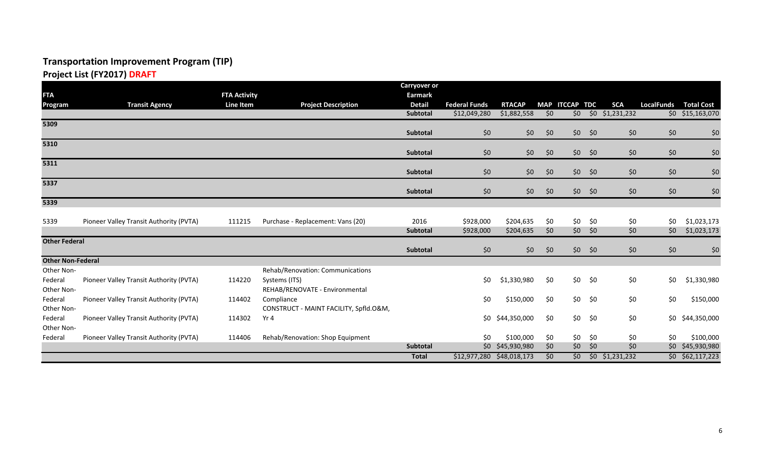## **Project List (FY2017) DRAFT**

|                          |                                         |                     |                                               | <b>Carryover or</b> |                           |                  |                 |                   |               |                        |                   |                    |
|--------------------------|-----------------------------------------|---------------------|-----------------------------------------------|---------------------|---------------------------|------------------|-----------------|-------------------|---------------|------------------------|-------------------|--------------------|
| <b>FTA</b>               |                                         | <b>FTA Activity</b> |                                               | <b>Earmark</b>      |                           |                  |                 |                   |               |                        |                   |                    |
| <b>Program</b>           | <b>Transit Agency</b>                   | Line Item           | <b>Project Description</b>                    | <b>Detail</b>       | <b>Federal Funds</b>      | <b>RTACAP</b>    | <b>MAP</b>      | <b>ITCCAP TDC</b> |               | <b>SCA</b>             | <b>LocalFunds</b> | <b>Total Cost</b>  |
|                          |                                         |                     |                                               | Subtotal            | \$12,049,280              | \$1,882,558      | $\overline{50}$ | \$0\$             |               | $$0$ $$1,231,232$      |                   | $$0$ $$15,163,070$ |
| 5309                     |                                         |                     |                                               | Subtotal            | \$0                       | \$0              | \$0             | \$0\$             | \$0           | \$0                    | \$0               | \$0                |
| 5310                     |                                         |                     |                                               | Subtotal            |                           |                  |                 |                   |               |                        | \$0               |                    |
| 5311                     |                                         |                     |                                               |                     | \$0                       | \$0              | \$0             | \$0\$             | \$0           | \$0                    |                   | \$0                |
|                          |                                         |                     |                                               | Subtotal            | \$0                       | \$0              | \$0             | \$0\$             | \$0           | \$0\$                  | \$0               | \$0                |
| 5337                     |                                         |                     |                                               | Subtotal            | \$0                       | \$0\$            | \$0             | \$0               | \$0           | \$0\$                  | \$0               | \$0                |
| 5339                     |                                         |                     |                                               |                     |                           |                  |                 |                   |               |                        |                   |                    |
| 5339                     | Pioneer Valley Transit Authority (PVTA) | 111215              | Purchase - Replacement: Vans (20)             | 2016                | \$928,000                 | \$204,635        | \$0             | \$0               | \$0           | \$0                    | \$0               | \$1,023,173        |
|                          |                                         |                     |                                               | Subtotal            | \$928,000                 | \$204,635        | \$0             | \$0\$             | $\frac{1}{2}$ | \$0\$                  | \$0               | \$1,023,173        |
| <b>Other Federal</b>     |                                         |                     |                                               | Subtotal            | \$0                       | \$0\$            | \$0             | \$0               | \$0           | \$0                    | \$0               | \$0                |
| <b>Other Non-Federal</b> |                                         |                     |                                               |                     |                           |                  |                 |                   |               |                        |                   |                    |
| Other Non-               |                                         |                     | Rehab/Renovation: Communications              |                     |                           |                  |                 |                   |               |                        |                   |                    |
| Federal                  | Pioneer Valley Transit Authority (PVTA) | 114220              | Systems (ITS)                                 |                     | \$0                       | \$1,330,980      | \$0             | \$0               | \$0           | \$0                    | \$0               | \$1,330,980        |
| Other Non-               |                                         |                     | REHAB/RENOVATE - Environmental                |                     |                           |                  |                 |                   |               |                        |                   |                    |
| Federal                  | Pioneer Valley Transit Authority (PVTA) | 114402              | Compliance                                    |                     | \$0                       | \$150,000        | \$0             | \$0               | \$0           | \$0                    | \$0               | \$150,000          |
| Other Non-<br>Federal    | Pioneer Valley Transit Authority (PVTA) | 114302              | CONSTRUCT - MAINT FACILITY, Spfld.O&M,<br>Yr4 |                     |                           | \$0 \$44,350,000 | \$0             | \$0               | \$0           | \$0                    | \$0\$             | \$44,350,000       |
| Other Non-               |                                         |                     |                                               |                     |                           |                  |                 |                   |               |                        |                   |                    |
| Federal                  | Pioneer Valley Transit Authority (PVTA) | 114406              | Rehab/Renovation: Shop Equipment              |                     | \$0                       | \$100,000        | \$0             | \$0               | \$0           | \$0                    | \$0               | \$100,000          |
|                          |                                         |                     |                                               | Subtotal            |                           | \$0 \$45,930,980 | \$0             | \$0               | \$0           | \$0\$                  |                   | \$0 \$45,930,980   |
|                          |                                         |                     |                                               | <b>Total</b>        | \$12,977,280 \$48,018,173 |                  | \$0             |                   |               | $$0$ $$0$ $$1,231,232$ |                   | $$0$ $$62,117,223$ |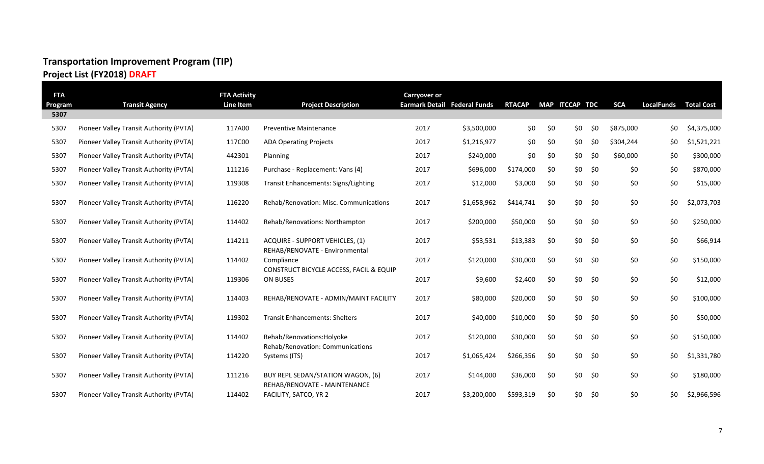## **Project List (FY2018) DRAFT**

| <b>FTA</b><br>Program | <b>Transit Agency</b>                   | <b>FTA Activity</b><br>Line Item | <b>Project Description</b>                                               | <b>Carryover or</b><br>Earmark Detail Federal Funds |             | <b>RTACAP</b> |     | MAP ITCCAP TDC |     | <b>SCA</b> | <b>LocalFunds</b> | <b>Total Cost</b> |
|-----------------------|-----------------------------------------|----------------------------------|--------------------------------------------------------------------------|-----------------------------------------------------|-------------|---------------|-----|----------------|-----|------------|-------------------|-------------------|
| 5307                  |                                         |                                  |                                                                          |                                                     |             |               |     |                |     |            |                   |                   |
| 5307                  | Pioneer Valley Transit Authority (PVTA) | 117A00                           | <b>Preventive Maintenance</b>                                            | 2017                                                | \$3,500,000 | \$0           | \$0 | \$0            | \$0 | \$875,000  | \$0               | \$4,375,000       |
| 5307                  | Pioneer Valley Transit Authority (PVTA) | 117C00                           | <b>ADA Operating Projects</b>                                            | 2017                                                | \$1,216,977 | \$0           | \$0 | \$0            | \$0 | \$304,244  | \$0               | \$1,521,221       |
| 5307                  | Pioneer Valley Transit Authority (PVTA) | 442301                           | Planning                                                                 | 2017                                                | \$240,000   | \$0           | \$0 | \$0            | \$0 | \$60,000   | \$0               | \$300,000         |
| 5307                  | Pioneer Valley Transit Authority (PVTA) | 111216                           | Purchase - Replacement: Vans (4)                                         | 2017                                                | \$696,000   | \$174,000     | \$0 | \$0            | \$0 | \$0        | \$0               | \$870,000         |
| 5307                  | Pioneer Valley Transit Authority (PVTA) | 119308                           | Transit Enhancements: Signs/Lighting                                     | 2017                                                | \$12,000    | \$3,000       | \$0 | \$0            | \$0 | \$0        | \$0               | \$15,000          |
| 5307                  | Pioneer Valley Transit Authority (PVTA) | 116220                           | Rehab/Renovation: Misc. Communications                                   | 2017                                                | \$1,658,962 | \$414,741     | \$0 | \$0            | \$0 | \$0        | \$0               | \$2,073,703       |
| 5307                  | Pioneer Valley Transit Authority (PVTA) | 114402                           | Rehab/Renovations: Northampton                                           | 2017                                                | \$200,000   | \$50,000      | \$0 | \$0            | \$0 | \$0        | \$0               | \$250,000         |
| 5307                  | Pioneer Valley Transit Authority (PVTA) | 114211                           | <b>ACQUIRE - SUPPORT VEHICLES, (1)</b><br>REHAB/RENOVATE - Environmental | 2017                                                | \$53,531    | \$13,383      | \$0 | \$0            | \$0 | \$0        | \$0               | \$66,914          |
| 5307                  | Pioneer Valley Transit Authority (PVTA) | 114402                           | Compliance<br>CONSTRUCT BICYCLE ACCESS, FACIL & EQUIP                    | 2017                                                | \$120,000   | \$30,000      | \$0 | \$0            | \$0 | \$0        | \$0               | \$150,000         |
| 5307                  | Pioneer Valley Transit Authority (PVTA) | 119306                           | <b>ON BUSES</b>                                                          | 2017                                                | \$9,600     | \$2,400       | \$0 | \$0            | \$0 | \$0        | \$0               | \$12,000          |
| 5307                  | Pioneer Valley Transit Authority (PVTA) | 114403                           | REHAB/RENOVATE - ADMIN/MAINT FACILITY                                    | 2017                                                | \$80,000    | \$20,000      | \$0 | \$0            | \$0 | \$0        | \$0               | \$100,000         |
| 5307                  | Pioneer Valley Transit Authority (PVTA) | 119302                           | <b>Transit Enhancements: Shelters</b>                                    | 2017                                                | \$40,000    | \$10,000      | \$0 | \$0            | \$0 | \$0        | \$0               | \$50,000          |
| 5307                  | Pioneer Valley Transit Authority (PVTA) | 114402                           | Rehab/Renovations: Holyoke                                               | 2017                                                | \$120,000   | \$30,000      | \$0 | \$0            | \$0 | \$0        | \$0               | \$150,000         |
| 5307                  | Pioneer Valley Transit Authority (PVTA) | 114220                           | Rehab/Renovation: Communications<br>Systems (ITS)                        | 2017                                                | \$1,065,424 | \$266,356     | \$0 | \$0            | \$0 | \$0        | \$0               | \$1,331,780       |
| 5307                  | Pioneer Valley Transit Authority (PVTA) | 111216                           | BUY REPL SEDAN/STATION WAGON, (6)<br>REHAB/RENOVATE - MAINTENANCE        | 2017                                                | \$144,000   | \$36,000      | \$0 | \$0            | \$0 | \$0        | \$0               | \$180,000         |
| 5307                  | Pioneer Valley Transit Authority (PVTA) | 114402                           | FACILITY, SATCO, YR 2                                                    | 2017                                                | \$3,200,000 | \$593,319     | \$0 | \$0            | \$0 | \$0        | \$0               | \$2,966,596       |